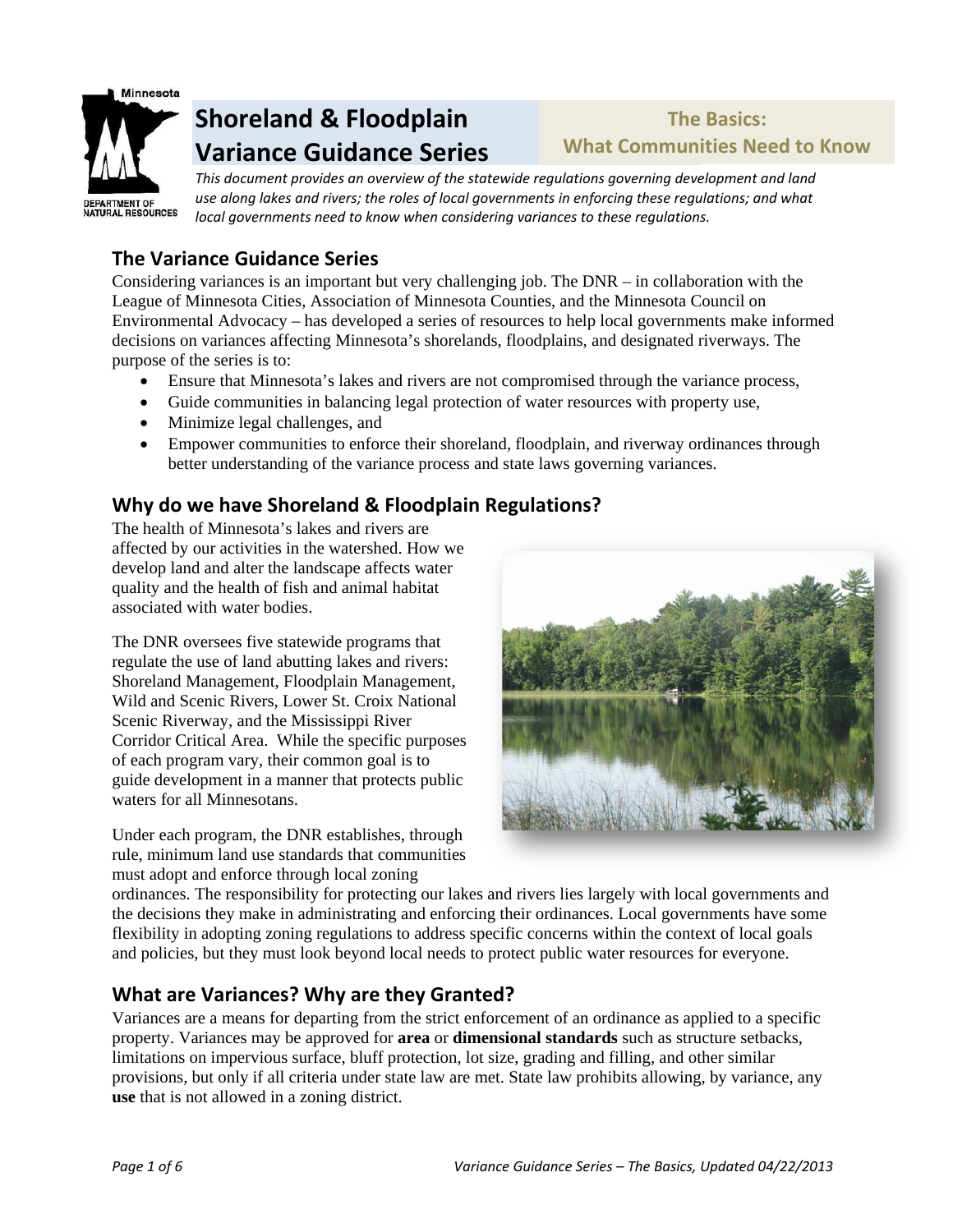

# **Shoreland & Floodplain Variance Guidance Series**

# **The Basics: What Communities Need to Know**

*This document provides an overview of the statewide regulations governing development and land use along lakes and rivers; the roles of local governments in enforcing these regulations; and what local governments need to know when considering variances to these regulations.*

## **The Variance Guidance Series**

Considering variances is an important but very challenging job. The DNR – in collaboration with the League of Minnesota Cities, Association of Minnesota Counties, and the Minnesota Council on Environmental Advocacy – has developed a series of resources to help local governments make informed decisions on variances affecting Minnesota's shorelands, floodplains, and designated riverways. The purpose of the series is to:

- Ensure that Minnesota's lakes and rivers are not compromised through the variance process,
- Guide communities in balancing legal protection of water resources with property use,
- Minimize legal challenges, and
- Empower communities to enforce their shoreland, floodplain, and riverway ordinances through better understanding of the variance process and state laws governing variances.

### **Why do we have Shoreland & Floodplain Regulations?**

The health of Minnesota's lakes and rivers are affected by our activities in the watershed. How we develop land and alter the landscape affects water quality and the health of fish and animal habitat associated with water bodies.

The DNR oversees five statewide programs that regulate the use of land abutting lakes and rivers: Shoreland Management, Floodplain Management, Wild and Scenic Rivers, Lower St. Croix National Scenic Riverway, and the Mississippi River Corridor Critical Area. While the specific purposes of each program vary, their common goal is to guide development in a manner that protects public waters for all Minnesotans.

Under each program, the DNR establishes, through rule, minimum land use standards that communities must adopt and enforce through local zoning



ordinances. The responsibility for protecting our lakes and rivers lies largely with local governments and the decisions they make in administrating and enforcing their ordinances. Local governments have some flexibility in adopting zoning regulations to address specific concerns within the context of local goals and policies, but they must look beyond local needs to protect public water resources for everyone.

# **What are Variances? Why are they Granted?**

Variances are a means for departing from the strict enforcement of an ordinance as applied to a specific property. Variances may be approved for **area** or **dimensional standards** such as structure setbacks, limitations on impervious surface, bluff protection, lot size, grading and filling, and other similar provisions, but only if all criteria under state law are met. State law prohibits allowing, by variance, any **use** that is not allowed in a zoning district.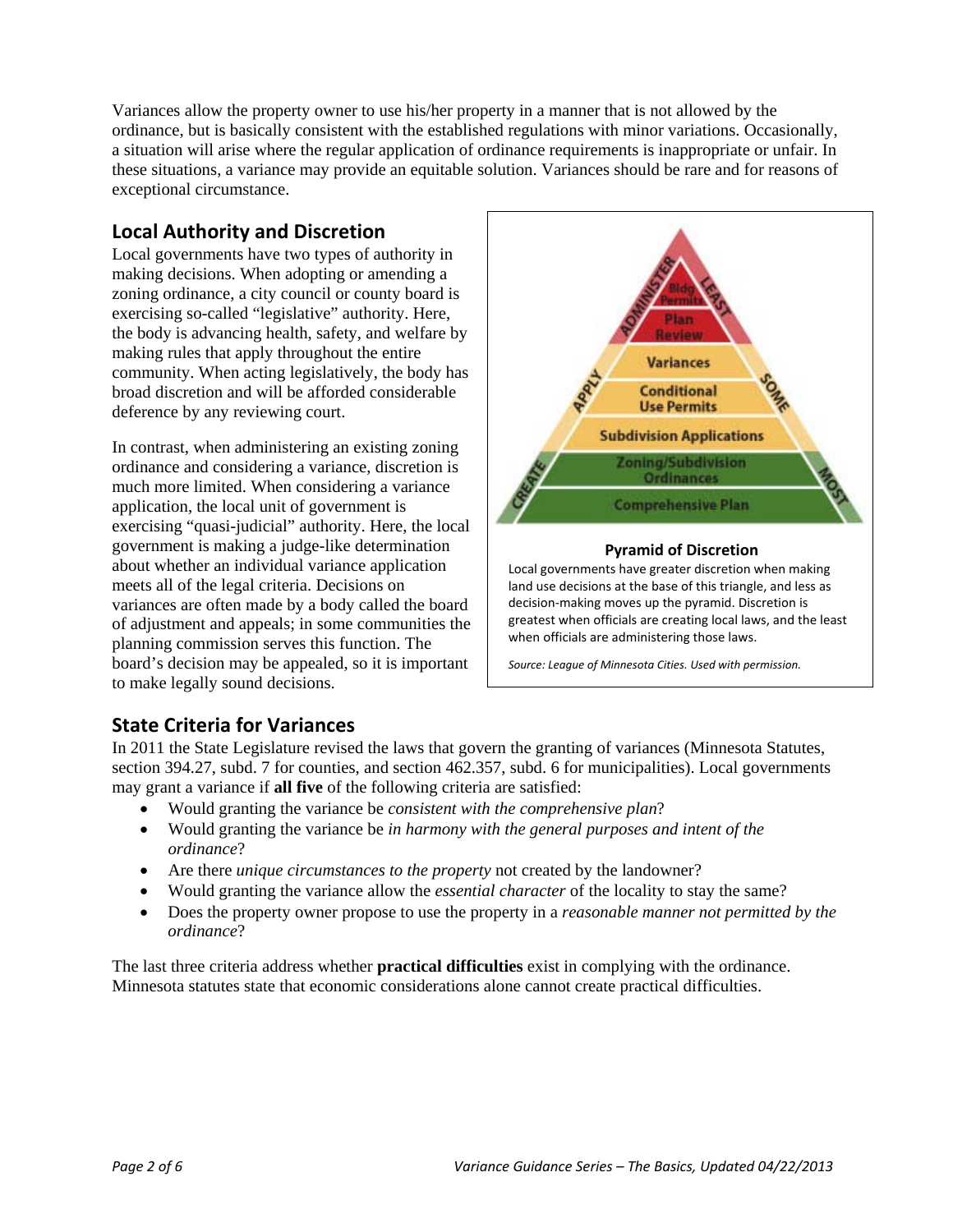Variances allow the property owner to use his/her property in a manner that is not allowed by the ordinance, but is basically consistent with the established regulations with minor variations. Occasionally, a situation will arise where the regular application of ordinance requirements is inappropriate or unfair. In these situations, a variance may provide an equitable solution. Variances should be rare and for reasons of exceptional circumstance.

### **Local Authority and Discretion**

Local governments have two types of authority in making decisions. When adopting or amending a zoning ordinance, a city council or county board is exercising so-called "legislative" authority. Here, the body is advancing health, safety, and welfare by making rules that apply throughout the entire community. When acting legislatively, the body has broad discretion and will be afforded considerable deference by any reviewing court.

In contrast, when administering an existing zoning ordinance and considering a variance, discretion is much more limited. When considering a variance application, the local unit of government is exercising "quasi-judicial" authority. Here, the local government is making a judge-like determination about whether an individual variance application meets all of the legal criteria. Decisions on variances are often made by a body called the board of adjustment and appeals; in some communities the planning commission serves this function. The board's decision may be appealed, so it is important to make legally sound decisions.



*Source: League of Minnesota Cities. Used with permission.*

### **State Criteria for Variances**

In 2011 the State Legislature revised the laws that govern the granting of variances (Minnesota Statutes, section 394.27, subd. 7 for counties, and section 462.357, subd. 6 for municipalities). Local governments may grant a variance if **all five** of the following criteria are satisfied:

- Would granting the variance be *consistent with the comprehensive plan*?
- Would granting the variance be *in harmony with the general purposes and intent of the ordinance*?
- Are there *unique circumstances to the property* not created by the landowner?
- Would granting the variance allow the *essential character* of the locality to stay the same?
- Does the property owner propose to use the property in a *reasonable manner not permitted by the ordinance*?

The last three criteria address whether **practical difficulties** exist in complying with the ordinance. Minnesota statutes state that economic considerations alone cannot create practical difficulties.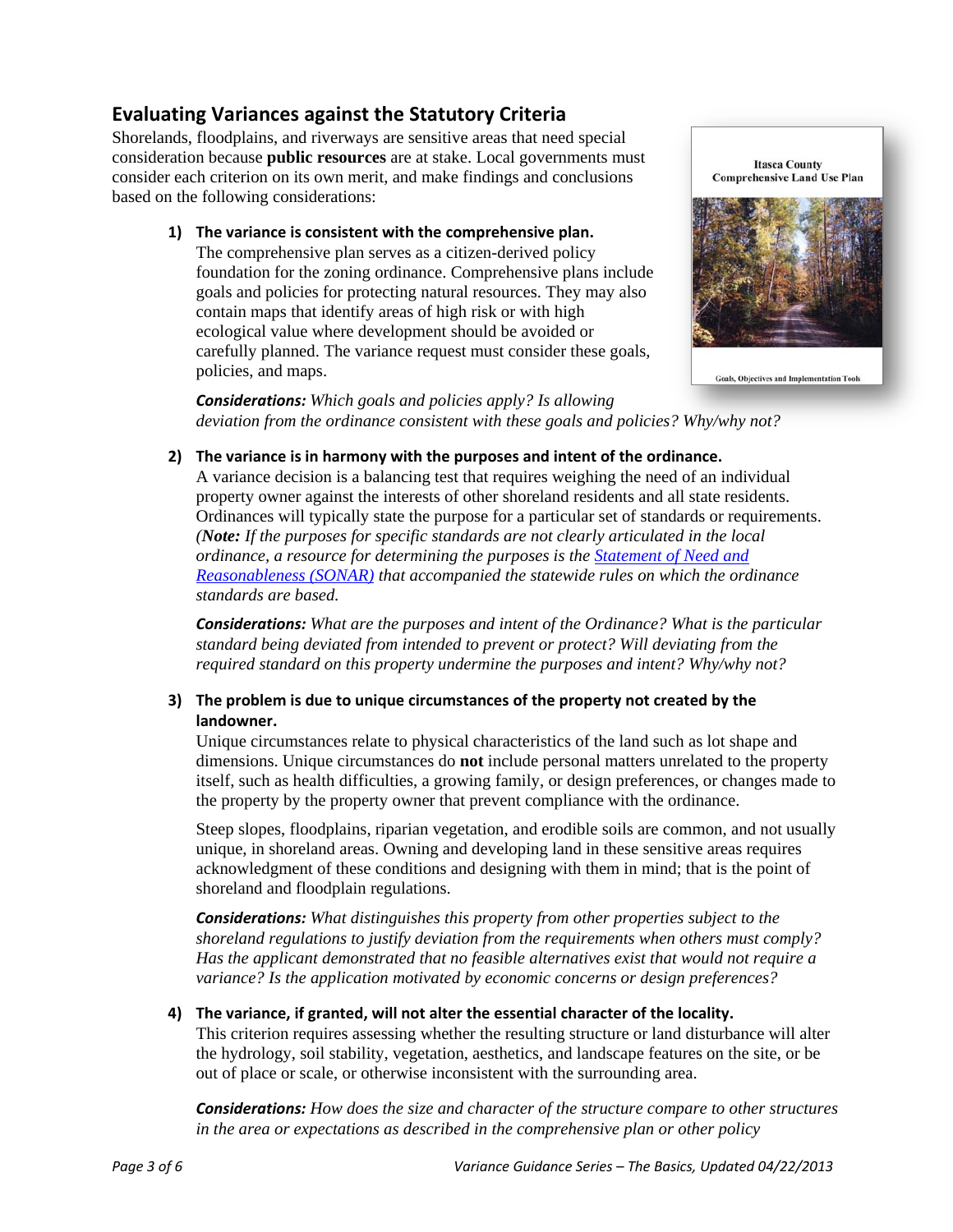### **Evaluating Variances against the Statutory Criteria**

Shorelands, floodplains, and riverways are sensitive areas that need special consideration because **public resources** are at stake. Local governments must consider each criterion on its own merit, and make findings and conclusions based on the following considerations:

> **1) The variance is consistent with the comprehensive plan.** The comprehensive plan serves as a citizen-derived policy foundation for the zoning ordinance. Comprehensive plans include goals and policies for protecting natural resources. They may also contain maps that identify areas of high risk or with high ecological value where development should be avoided or carefully planned. The variance request must consider these goals, policies, and maps.



*Considerations: Which goals and policies apply? Is allowing deviation from the ordinance consistent with these goals and policies? Why/why not?*

#### **2) The variance is in harmony with the purposes and intent of the ordinance.**

A variance decision is a balancing test that requires weighing the need of an individual property owner against the interests of other shoreland residents and all state residents. Ordinances will typically state the purpose for a particular set of standards or requirements. *(Note: If the purposes for specific standards are not clearly articulated in the local ordinance, a resource for determining the purposes is the [Statement of Need and](http://files.dnr.state.mn.us/waters/watermgmt_section/shoreland/sonar_shoreland_1989.pdf)  [Reasonableness \(SONAR\)](http://files.dnr.state.mn.us/waters/watermgmt_section/shoreland/sonar_shoreland_1989.pdf) that accompanied the statewide rules on which the ordinance standards are based.* 

*Considerations: What are the purposes and intent of the Ordinance? What is the particular standard being deviated from intended to prevent or protect? Will deviating from the required standard on this property undermine the purposes and intent? Why/why not?*

#### **3) The problem is due to unique circumstances of the property not created by the landowner.**

Unique circumstances relate to physical characteristics of the land such as lot shape and dimensions. Unique circumstances do **not** include personal matters unrelated to the property itself, such as health difficulties, a growing family, or design preferences, or changes made to the property by the property owner that prevent compliance with the ordinance.

Steep slopes, floodplains, riparian vegetation, and erodible soils are common, and not usually unique, in shoreland areas. Owning and developing land in these sensitive areas requires acknowledgment of these conditions and designing with them in mind; that is the point of shoreland and floodplain regulations.

*Considerations: What distinguishes this property from other properties subject to the shoreland regulations to justify deviation from the requirements when others must comply? Has the applicant demonstrated that no feasible alternatives exist that would not require a variance? Is the application motivated by economic concerns or design preferences?* 

#### **4) The variance, if granted, will not alter the essential character of the locality.**

This criterion requires assessing whether the resulting structure or land disturbance will alter the hydrology, soil stability, vegetation, aesthetics, and landscape features on the site, or be out of place or scale, or otherwise inconsistent with the surrounding area.

*Considerations: How does the size and character of the structure compare to other structures in the area or expectations as described in the comprehensive plan or other policy*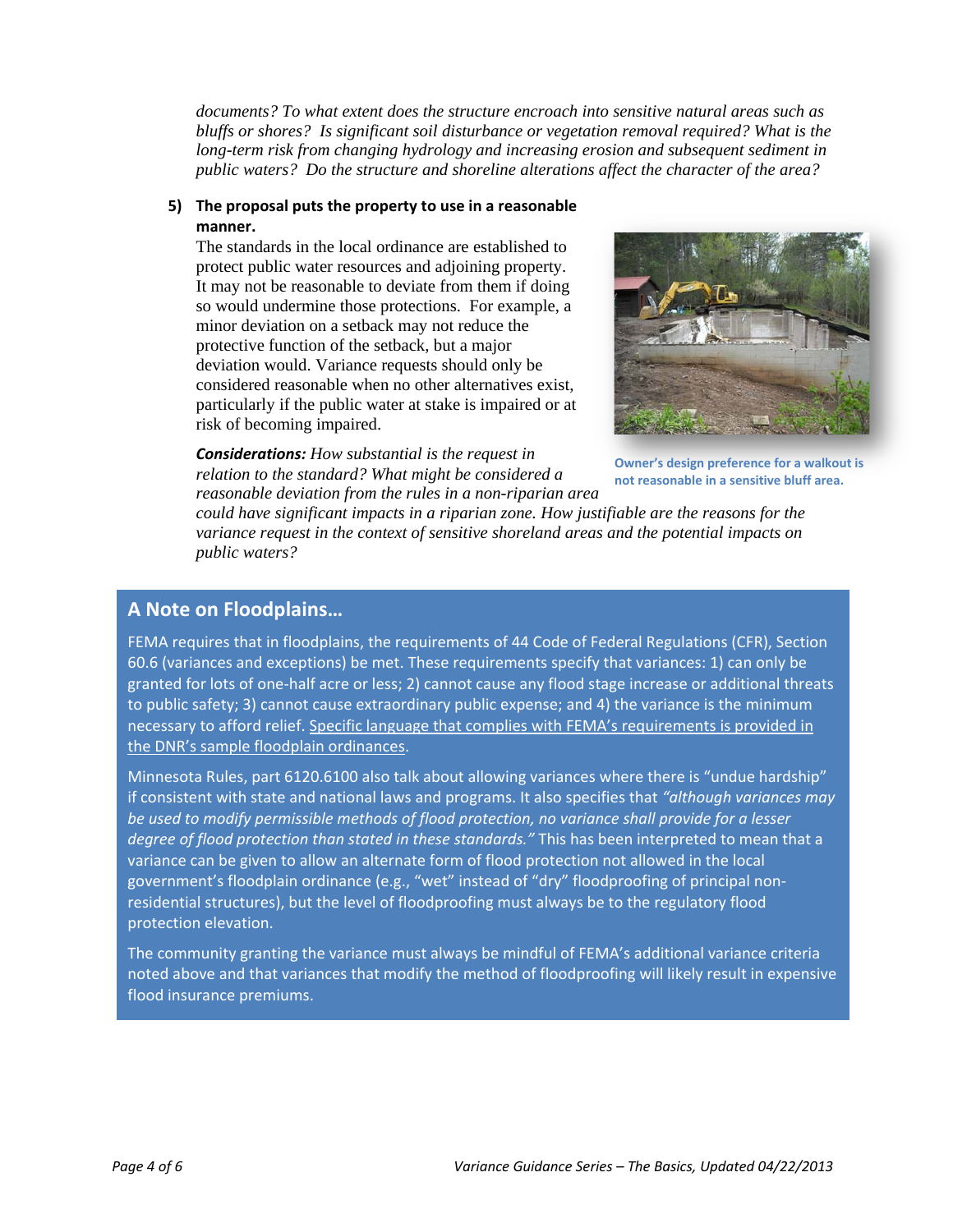*documents? To what extent does the structure encroach into sensitive natural areas such as bluffs or shores? Is significant soil disturbance or vegetation removal required? What is the long-term risk from changing hydrology and increasing erosion and subsequent sediment in public waters? Do the structure and shoreline alterations affect the character of the area?* 

#### **5) The proposal puts the property to use in a reasonable manner.**

The standards in the local ordinance are established to protect public water resources and adjoining property. It may not be reasonable to deviate from them if doing so would undermine those protections. For example, a minor deviation on a setback may not reduce the protective function of the setback, but a major deviation would. Variance requests should only be considered reasonable when no other alternatives exist, particularly if the public water at stake is impaired or at risk of becoming impaired.



**Owner's design preference for a walkout is not reasonable in a sensitive bluff area.**

*Considerations: How substantial is the request in relation to the standard? What might be considered a reasonable deviation from the rules in a non-riparian area* 

*could have significant impacts in a riparian zone. How justifiable are the reasons for the variance request in the context of sensitive shoreland areas and the potential impacts on public waters?* 

### **A Note on Floodplains…**

FEMA requires that in floodplains, the requirements of 44 Code of Federal Regulations (CFR), Section 60.6 (variances and exceptions) be met. These requirements specify that variances: 1) can only be granted for lots of one-half acre or less; 2) cannot cause any flood stage increase or additional threats to public safety; 3) cannot cause extraordinary public expense; and 4) the variance is the minimum necessary to afford relief. Specific language that complies with FEMA's requirements is provided in the DNR's sample floodplain ordinances.

Minnesota Rules, part 6120.6100 also talk about allowing variances where there is "undue hardship" if consistent with state and national laws and programs. It also specifies that *"although variances may be used to modify permissible methods of flood protection, no variance shall provide for a lesser degree of flood protection than stated in these standards."* This has been interpreted to mean that a variance can be given to allow an alternate form of flood protection not allowed in the local government's floodplain ordinance (e.g., "wet" instead of "dry" floodproofing of principal nonresidential structures), but the level of floodproofing must always be to the regulatory flood protection elevation.

The community granting the variance must always be mindful of FEMA's additional variance criteria noted above and that variances that modify the method of floodproofing will likely result in expensive flood insurance premiums.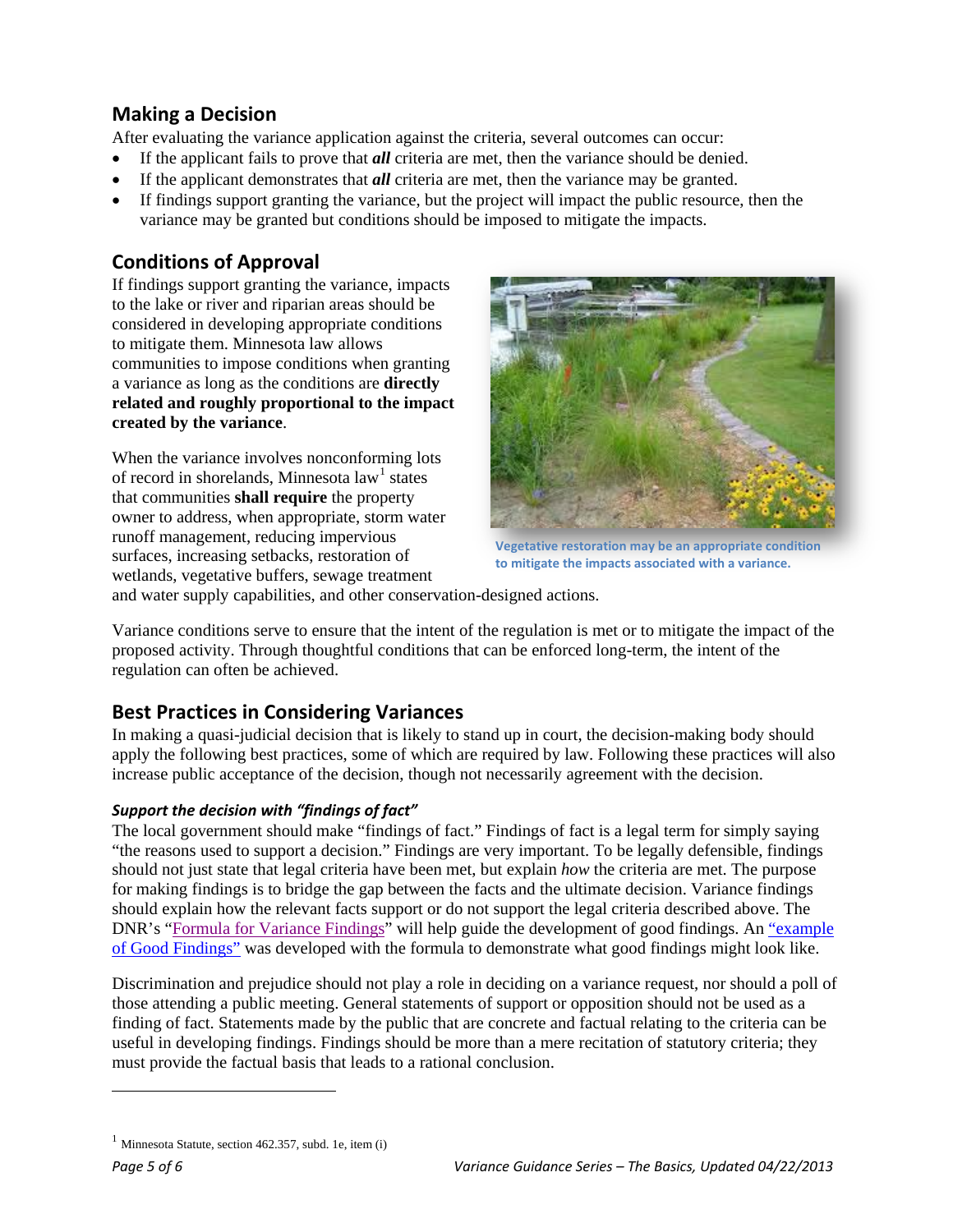### **Making a Decision**

After evaluating the variance application against the criteria, several outcomes can occur:

- If the applicant fails to prove that *all* criteria are met, then the variance should be denied.
- If the applicant demonstrates that *all* criteria are met, then the variance may be granted.
- If findings support granting the variance, but the project will impact the public resource, then the variance may be granted but conditions should be imposed to mitigate the impacts.

### **Conditions of Approval**

If findings support granting the variance, impacts to the lake or river and riparian areas should be considered in developing appropriate conditions to mitigate them. Minnesota law allows communities to impose conditions when granting a variance as long as the conditions are **directly related and roughly proportional to the impact created by the variance**.

When the variance involves nonconforming lots of record in shorelands, Minnesota law<sup>[1](#page-4-0)</sup> states that communities **shall require** the property owner to address, when appropriate, storm water runoff management, reducing impervious surfaces, increasing setbacks, restoration of wetlands, vegetative buffers, sewage treatment



**Vegetative restoration may be an appropriate condition to mitigate the impacts associated with a variance.**

and water supply capabilities, and other conservation-designed actions.

Variance conditions serve to ensure that the intent of the regulation is met or to mitigate the impact of the proposed activity. Through thoughtful conditions that can be enforced long-term, the intent of the regulation can often be achieved.

### **Best Practices in Considering Variances**

In making a quasi-judicial decision that is likely to stand up in court, the decision-making body should apply the following best practices, some of which are required by law. Following these practices will also increase public acceptance of the decision, though not necessarily agreement with the decision.

#### *Support the decision with "findings of fact"*

The local government should make "findings of fact." Findings of fact is a legal term for simply saying "the reasons used to support a decision." Findings are very important. To be legally defensible, findings should not just state that legal criteria have been met, but explain *how* the criteria are met. The purpose for making findings is to bridge the gap between the facts and the ultimate decision. Variance findings should explain how the relevant facts support or do not support the legal criteria described above. The DNR's ["Formula for Variance Findings"](http://files.dnr.state.mn.us/waters/watermgmt_section/shoreland/formula_for_findings_122012.pdf) will help guide the development of good findings. An "example of Good Findings" was developed with the formula to demonstrate what good findings might look like.

Discrimination and prejudice should not play a role in deciding on a variance request, nor should a poll of those attending a public meeting. General statements of support or opposition should not be used as a finding of fact. Statements made by the public that are concrete and factual relating to the criteria can be useful in developing findings. Findings should be more than a mere recitation of statutory criteria; they must provide the factual basis that leads to a rational conclusion.

 $\overline{a}$ 

<span id="page-4-0"></span> $<sup>1</sup>$  Minnesota Statute, section 462.357, subd. 1e, item (i)</sup>